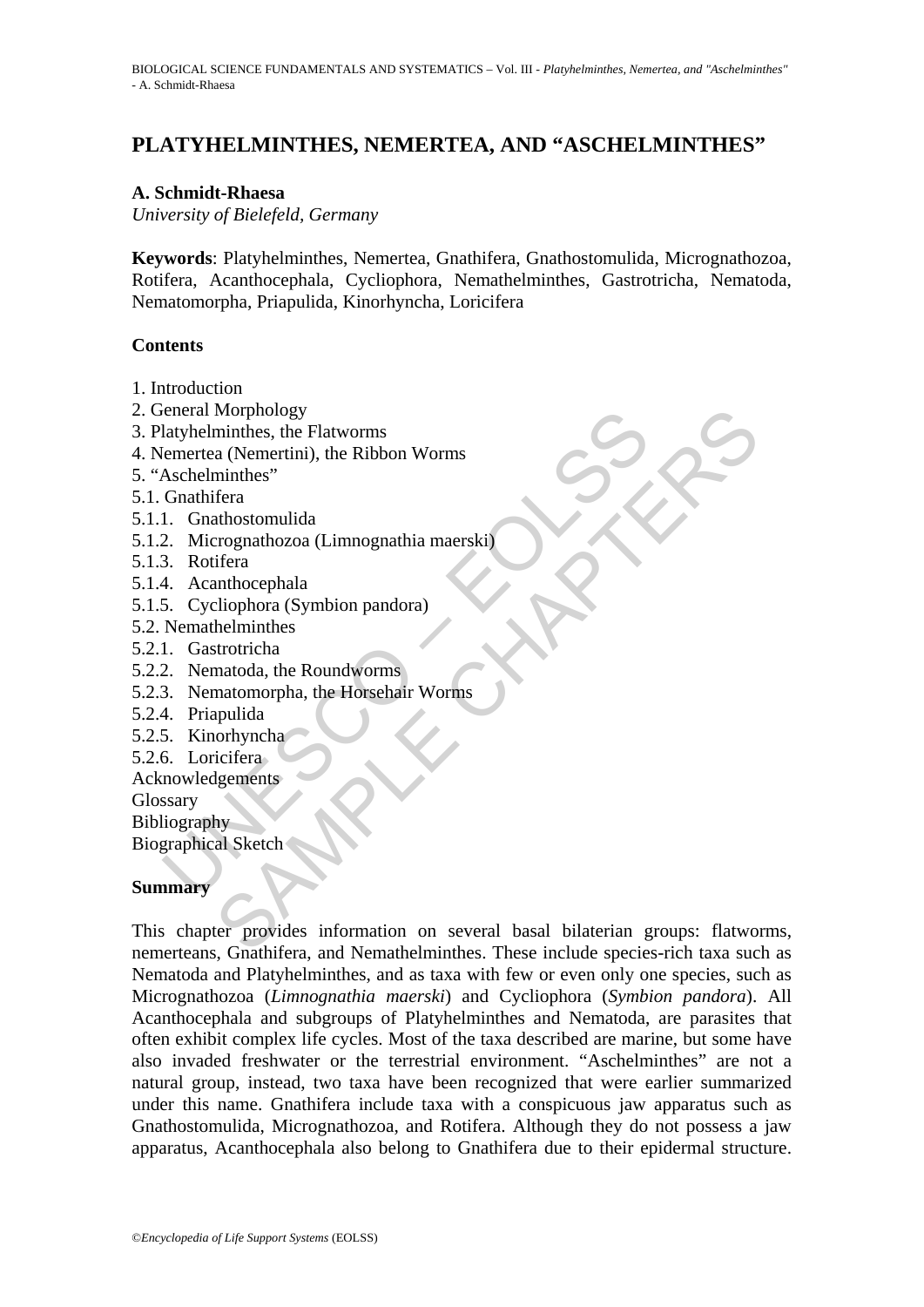# **PLATYHELMINTHES, NEMERTEA, AND "ASCHELMINTHES"**

### **A. Schmidt-Rhaesa**

*University of Bielefeld, Germany* 

**Keywords**: Platyhelminthes, Nemertea, Gnathifera, Gnathostomulida, Micrognathozoa, Rotifera, Acanthocephala, Cycliophora, Nemathelminthes, Gastrotricha, Nematoda, Nematomorpha, Priapulida, Kinorhyncha, Loricifera

## **Contents**

- 1. Introduction
- 2. General Morphology
- 3. Platyhelminthes, the Flatworms
- 4. Nemertea (Nemertini), the Ribbon Worms
- 5. "Aschelminthes"
- 5.1. Gnathifera
- 5.1.1. Gnathostomulida
- reneral Morphology<br>Iaryhelminthes, the Flatworms<br>Lemertea (Nemertini), the Ribbon Worms<br>Aschelminthes"<br>Conathifera<br>1. Gnathostomulida<br>2. Micrographical (Linnognathia maerski)<br>1. According Constant (Symbion pandora)<br>Nemathe 5.1.2. Micrognathozoa (Limnognathia maerski)
- 5.1.3. Rotifera
- 5.1.4. Acanthocephala
- 5.1.5. Cycliophora (Symbion pandora)
- 5.2. Nemathelminthes
- 5.2.1. Gastrotricha
- 5.2.2. Nematoda, the Roundworms
- 5.2.3. Nematomorpha, the Horsehair Worms
- 5.2.4. Priapulida
- 5.2.5. Kinorhyncha
- 5.2.6. Loricifera

Acknowledgements

Glossary

Bibliography

Biographical Sketch

## **Summary**

Morphology<br>
minthes, the Flatworms<br>
a (Nemertini), the Ribbon Worms<br>
minthes<sup>7</sup><br>
fera<br>
rignathozonulida<br>
athostomulida<br>
rignathozon (Symbion pandora)<br>
helminthes<br>
strotricha<br>
natomorpha, the Horsehair Worms<br>
publida<br>
orhyn This chapter provides information on several basal bilaterian groups: flatworms, nemerteans, Gnathifera, and Nemathelminthes. These include species-rich taxa such as Nematoda and Platyhelminthes, and as taxa with few or even only one species, such as Micrognathozoa (*Limnognathia maerski*) and Cycliophora (*Symbion pandora*). All Acanthocephala and subgroups of Platyhelminthes and Nematoda, are parasites that often exhibit complex life cycles. Most of the taxa described are marine, but some have also invaded freshwater or the terrestrial environment. "Aschelminthes" are not a natural group, instead, two taxa have been recognized that were earlier summarized under this name. Gnathifera include taxa with a conspicuous jaw apparatus such as Gnathostomulida, Micrognathozoa, and Rotifera. Although they do not possess a jaw apparatus, Acanthocephala also belong to Gnathifera due to their epidermal structure.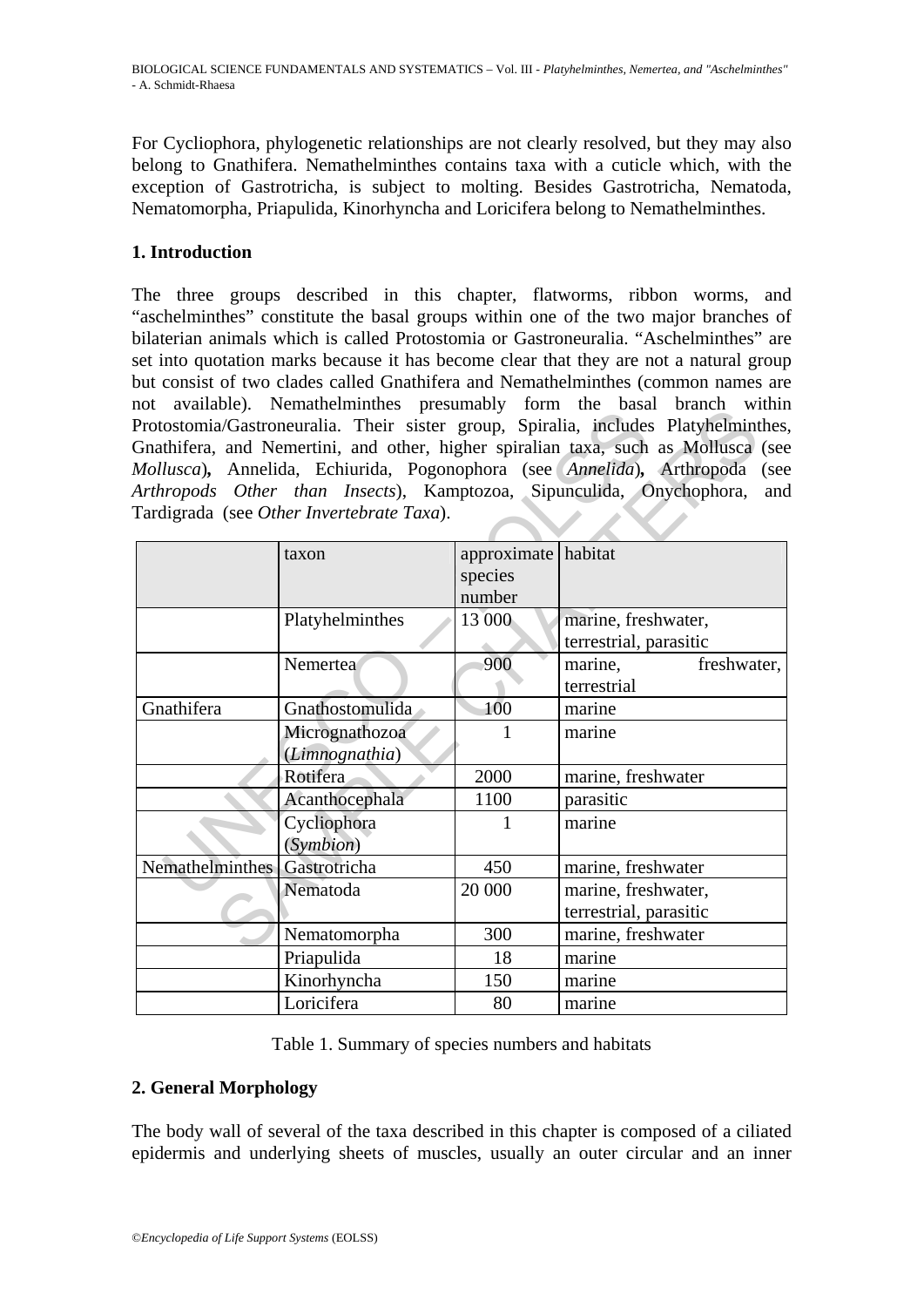For Cycliophora, phylogenetic relationships are not clearly resolved, but they may also belong to Gnathifera. Nemathelminthes contains taxa with a cuticle which, with the exception of Gastrotricha, is subject to molting. Besides Gastrotricha, Nematoda, Nematomorpha, Priapulida, Kinorhyncha and Loricifera belong to Nemathelminthes.

## **1. Introduction**

The three groups described in this chapter, flatworms, ribbon worms, and "aschelminthes" constitute the basal groups within one of the two major branches of bilaterian animals which is called Protostomia or Gastroneuralia. "Aschelminthes" are set into quotation marks because it has become clear that they are not a natural group but consist of two clades called Gnathifera and Nemathelminthes (common names are not available). Nemathelminthes presumably form the basal branch within Protostomia/Gastroneuralia. Their sister group, Spiralia, includes Platyhelminthes, Gnathifera, and Nemertini, and other, higher spiralian taxa, such as Mollusca (see *Mollusca*)*,* Annelida, Echiurida, Pogonophora (see *Annelida*)*,* Arthropoda (see *Arthropods Other than Insects*), Kamptozoa, Sipunculida, Onychophora, and Tardigrada (see *Other Invertebrate Taxa*).

|                                           |                 |             | not avanaoic). Incinationimities presumaviy form the basar branch whill<br>Protostomia/Gastroneuralia. Their sister group, Spiralia, includes Platyhelminthes, |
|-------------------------------------------|-----------------|-------------|----------------------------------------------------------------------------------------------------------------------------------------------------------------|
|                                           |                 |             | Gnathifera, and Nemertini, and other, higher spiralian taxa, such as Mollusca (see                                                                             |
|                                           |                 |             | Mollusca), Annelida, Echiurida, Pogonophora (see Annelida), Arthropoda<br>(see                                                                                 |
|                                           |                 |             | Arthropods Other than Insects), Kamptozoa, Sipunculida, Onychophora,<br>and                                                                                    |
| Tardigrada (see Other Invertebrate Taxa). |                 |             |                                                                                                                                                                |
|                                           |                 |             |                                                                                                                                                                |
|                                           | taxon           | approximate | habitat                                                                                                                                                        |
|                                           |                 | species     |                                                                                                                                                                |
|                                           |                 | number      |                                                                                                                                                                |
|                                           | Platyhelminthes | 13 000      | marine, freshwater,                                                                                                                                            |
|                                           |                 |             | terrestrial, parasitic                                                                                                                                         |
|                                           | Nemertea        | 900         | marine,<br>freshwater,                                                                                                                                         |
|                                           |                 |             | terrestrial                                                                                                                                                    |
| Gnathifera                                | Gnathostomulida | 100         | marine                                                                                                                                                         |
|                                           | Micrognathozoa  | 1           | marine                                                                                                                                                         |
|                                           | (Limnognathia)  |             |                                                                                                                                                                |
|                                           | Rotifera        | 2000        | marine, freshwater                                                                                                                                             |
|                                           | Acanthocephala  | 1100        | parasitic                                                                                                                                                      |
|                                           | Cycliophora     | 1           | marine                                                                                                                                                         |
|                                           | (Symbion)       |             |                                                                                                                                                                |
| <b>Nemathelminthes</b>                    | Gastrotricha    | 450         | marine, freshwater                                                                                                                                             |
|                                           | Nematoda        | 20 000      | marine, freshwater,                                                                                                                                            |
|                                           |                 |             | terrestrial, parasitic                                                                                                                                         |
|                                           | Nematomorpha    | 300         | marine, freshwater                                                                                                                                             |
|                                           | Priapulida      | 18          | marine                                                                                                                                                         |
|                                           | Kinorhyncha     | 150         | marine                                                                                                                                                         |
|                                           | Loricifera      | 80          | marine                                                                                                                                                         |

Table 1. Summary of species numbers and habitats

## **2. General Morphology**

The body wall of several of the taxa described in this chapter is composed of a ciliated epidermis and underlying sheets of muscles, usually an outer circular and an inner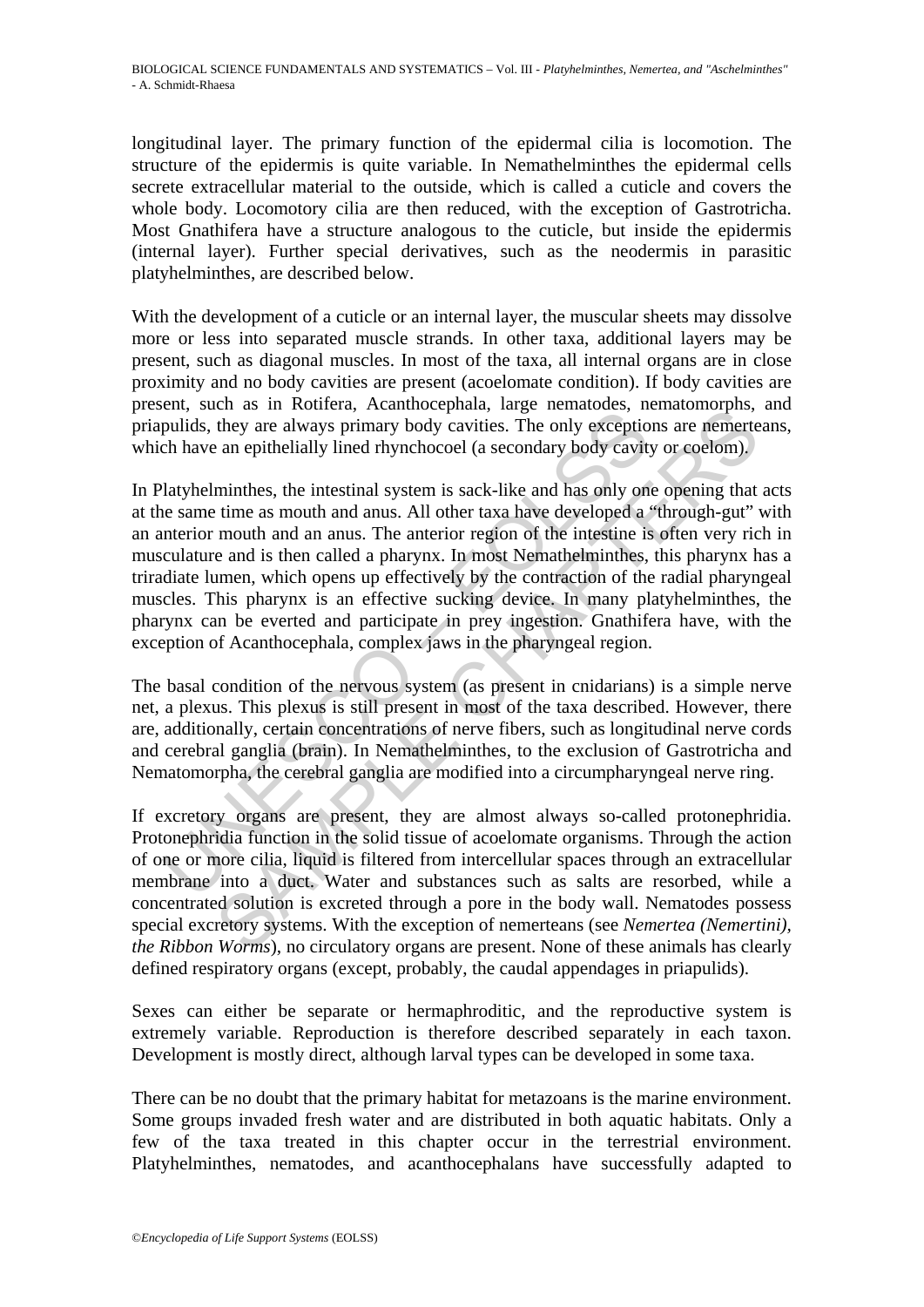longitudinal layer. The primary function of the epidermal cilia is locomotion. The structure of the epidermis is quite variable. In Nemathelminthes the epidermal cells secrete extracellular material to the outside, which is called a cuticle and covers the whole body. Locomotory cilia are then reduced, with the exception of Gastrotricha. Most Gnathifera have a structure analogous to the cuticle, but inside the epidermis (internal layer). Further special derivatives, such as the neodermis in parasitic platyhelminthes, are described below.

With the development of a cuticle or an internal layer, the muscular sheets may dissolve more or less into separated muscle strands. In other taxa, additional layers may be present, such as diagonal muscles. In most of the taxa, all internal organs are in close proximity and no body cavities are present (acoelomate condition). If body cavities are present, such as in Rotifera, Acanthocephala, large nematodes, nematomorphs, and priapulids, they are always primary body cavities. The only exceptions are nemerteans, which have an epithelially lined rhynchocoel (a secondary body cavity or coelom).

between the intertional intertional intertional in the solid of the conductional intertional intertional intertion have an epithelially lined rhynchocoel (a secondary body cavity latyhelminthes, the intestinal system is sa the as in controls, extrained phases, and all shadowing the they are always primary body cavities. The only exceptions are nemerted the are a mepithelially lined rhynchocoel (a secondary body cavity or coelom), minthes, t In Platyhelminthes, the intestinal system is sack-like and has only one opening that acts at the same time as mouth and anus. All other taxa have developed a "through-gut" with an anterior mouth and an anus. The anterior region of the intestine is often very rich in musculature and is then called a pharynx. In most Nemathelminthes, this pharynx has a triradiate lumen, which opens up effectively by the contraction of the radial pharyngeal muscles. This pharynx is an effective sucking device. In many platyhelminthes, the pharynx can be everted and participate in prey ingestion. Gnathifera have, with the exception of Acanthocephala, complex jaws in the pharyngeal region.

The basal condition of the nervous system (as present in cnidarians) is a simple nerve net, a plexus. This plexus is still present in most of the taxa described. However, there are, additionally, certain concentrations of nerve fibers, such as longitudinal nerve cords and cerebral ganglia (brain). In Nemathelminthes, to the exclusion of Gastrotricha and Nematomorpha, the cerebral ganglia are modified into a circumpharyngeal nerve ring.

If excretory organs are present, they are almost always so-called protonephridia. Protonephridia function in the solid tissue of acoelomate organisms. Through the action of one or more cilia, liquid is filtered from intercellular spaces through an extracellular membrane into a duct. Water and substances such as salts are resorbed, while a concentrated solution is excreted through a pore in the body wall. Nematodes possess special excretory systems. With the exception of nemerteans (see *Nemertea (Nemertini), the Ribbon Worms*), no circulatory organs are present. None of these animals has clearly defined respiratory organs (except, probably, the caudal appendages in priapulids).

Sexes can either be separate or hermaphroditic, and the reproductive system is extremely variable. Reproduction is therefore described separately in each taxon. Development is mostly direct, although larval types can be developed in some taxa.

There can be no doubt that the primary habitat for metazoans is the marine environment. Some groups invaded fresh water and are distributed in both aquatic habitats. Only a few of the taxa treated in this chapter occur in the terrestrial environment. Platyhelminthes, nematodes, and acanthocephalans have successfully adapted to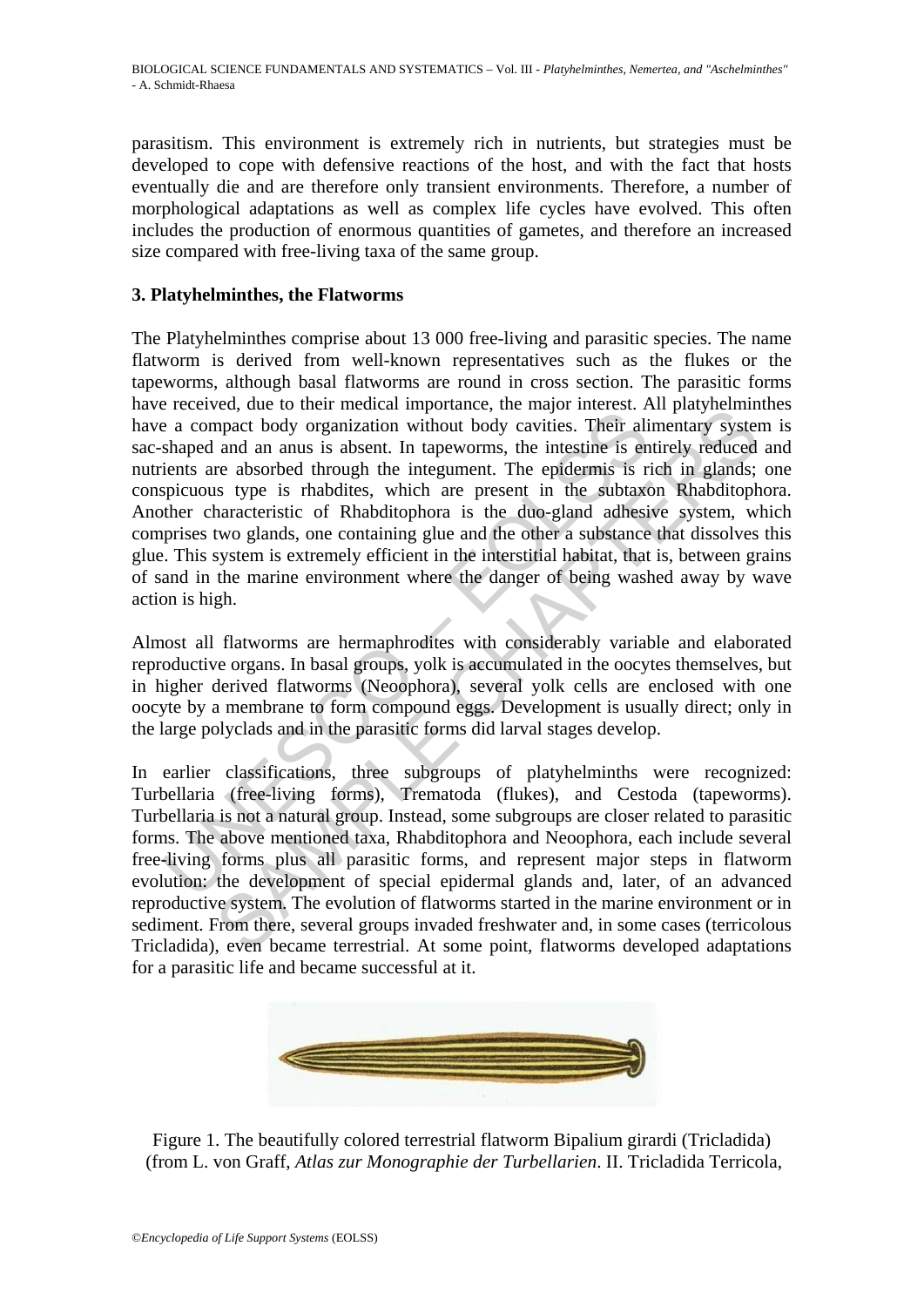parasitism. This environment is extremely rich in nutrients, but strategies must be developed to cope with defensive reactions of the host, and with the fact that hosts eventually die and are therefore only transient environments. Therefore, a number of morphological adaptations as well as complex life cycles have evolved. This often includes the production of enormous quantities of gametes, and therefore an increased size compared with free-living taxa of the same group.

### **3. Platyhelminthes, the Flatworms**

recover, are of manched mappromate. The mappromate in a more as compact body organization without body cavities. Their ali shaped and an anus is absent. In tapeworms, the intestine is en einents are absorbed through the in From the control of the method and method and Mechanical method and the divergent of the divergent and an anus is absent. In tapeworms, the intestine is entirely reduced re absorbed through the integument. The epidermis is The Platyhelminthes comprise about 13 000 free-living and parasitic species. The name flatworm is derived from well-known representatives such as the flukes or the tapeworms, although basal flatworms are round in cross section. The parasitic forms have received, due to their medical importance, the major interest. All platyhelminthes have a compact body organization without body cavities. Their alimentary system is sac-shaped and an anus is absent. In tapeworms, the intestine is entirely reduced and nutrients are absorbed through the integument. The epidermis is rich in glands; one conspicuous type is rhabdites, which are present in the subtaxon Rhabditophora. Another characteristic of Rhabditophora is the duo-gland adhesive system, which comprises two glands, one containing glue and the other a substance that dissolves this glue. This system is extremely efficient in the interstitial habitat, that is, between grains of sand in the marine environment where the danger of being washed away by wave action is high.

Almost all flatworms are hermaphrodites with considerably variable and elaborated reproductive organs. In basal groups, yolk is accumulated in the oocytes themselves, but in higher derived flatworms (Neoophora), several yolk cells are enclosed with one oocyte by a membrane to form compound eggs. Development is usually direct; only in the large polyclads and in the parasitic forms did larval stages develop.

In earlier classifications, three subgroups of platyhelminths were recognized: Turbellaria (free-living forms), Trematoda (flukes), and Cestoda (tapeworms). Turbellaria is not a natural group. Instead, some subgroups are closer related to parasitic forms. The above mentioned taxa, Rhabditophora and Neoophora, each include several free-living forms plus all parasitic forms, and represent major steps in flatworm evolution: the development of special epidermal glands and, later, of an advanced reproductive system. The evolution of flatworms started in the marine environment or in sediment. From there, several groups invaded freshwater and, in some cases (terricolous Tricladida), even became terrestrial. At some point, flatworms developed adaptations for a parasitic life and became successful at it.



Figure 1. The beautifully colored terrestrial flatworm Bipalium girardi (Tricladida) (from L. von Graff, *Atlas zur Monographie der Turbellarien*. II. Tricladida Terricola,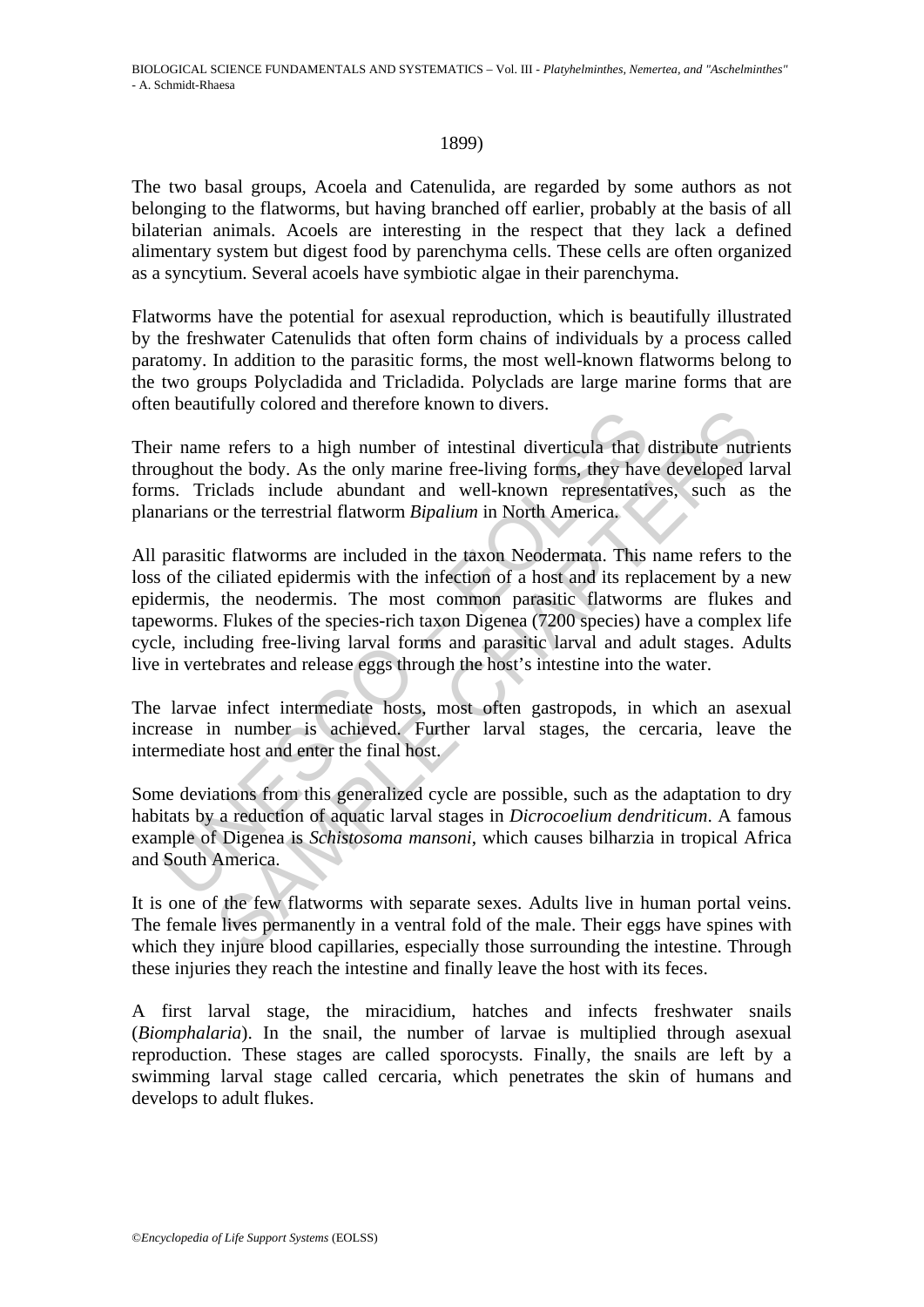#### 1899)

The two basal groups, Acoela and Catenulida, are regarded by some authors as not belonging to the flatworms, but having branched off earlier, probably at the basis of all bilaterian animals. Acoels are interesting in the respect that they lack a defined alimentary system but digest food by parenchyma cells. These cells are often organized as a syncytium. Several acoels have symbiotic algae in their parenchyma.

Flatworms have the potential for asexual reproduction, which is beautifully illustrated by the freshwater Catenulids that often form chains of individuals by a process called paratomy. In addition to the parasitic forms, the most well-known flatworms belong to the two groups Polycladida and Tricladida. Polyclads are large marine forms that are often beautifully colored and therefore known to divers.

Their name refers to a high number of intestinal diverticula that distribute nutrients throughout the body. As the only marine free-living forms, they have developed larval forms. Triclads include abundant and well-known representatives, such as the planarians or the terrestrial flatworm *Bipalium* in North America.

is considered and interest and interest and interest and interest and interest and interest and interest and interest and interest and well-known representations. Triclads include abundant and well-known representations or They colocal and interestive shown to arrests.<br>
The refers to a high number of intestinal diverticula that distribute nutri<br>
the body. As the only marine free-living forms, they have developed la<br>
cord the terms are includ All parasitic flatworms are included in the taxon Neodermata. This name refers to the loss of the ciliated epidermis with the infection of a host and its replacement by a new epidermis, the neodermis. The most common parasitic flatworms are flukes and tapeworms. Flukes of the species-rich taxon Digenea (7200 species) have a complex life cycle, including free-living larval forms and parasitic larval and adult stages. Adults live in vertebrates and release eggs through the host's intestine into the water.

The larvae infect intermediate hosts, most often gastropods, in which an asexual increase in number is achieved. Further larval stages, the cercaria, leave the intermediate host and enter the final host.

Some deviations from this generalized cycle are possible, such as the adaptation to dry habitats by a reduction of aquatic larval stages in *Dicrocoelium dendriticum*. A famous example of Digenea is *Schistosoma mansoni*, which causes bilharzia in tropical Africa and South America.

It is one of the few flatworms with separate sexes. Adults live in human portal veins. The female lives permanently in a ventral fold of the male. Their eggs have spines with which they injure blood capillaries, especially those surrounding the intestine. Through these injuries they reach the intestine and finally leave the host with its feces.

A first larval stage, the miracidium, hatches and infects freshwater snails (*Biomphalaria*). In the snail, the number of larvae is multiplied through asexual reproduction. These stages are called sporocysts. Finally, the snails are left by a swimming larval stage called cercaria, which penetrates the skin of humans and develops to adult flukes.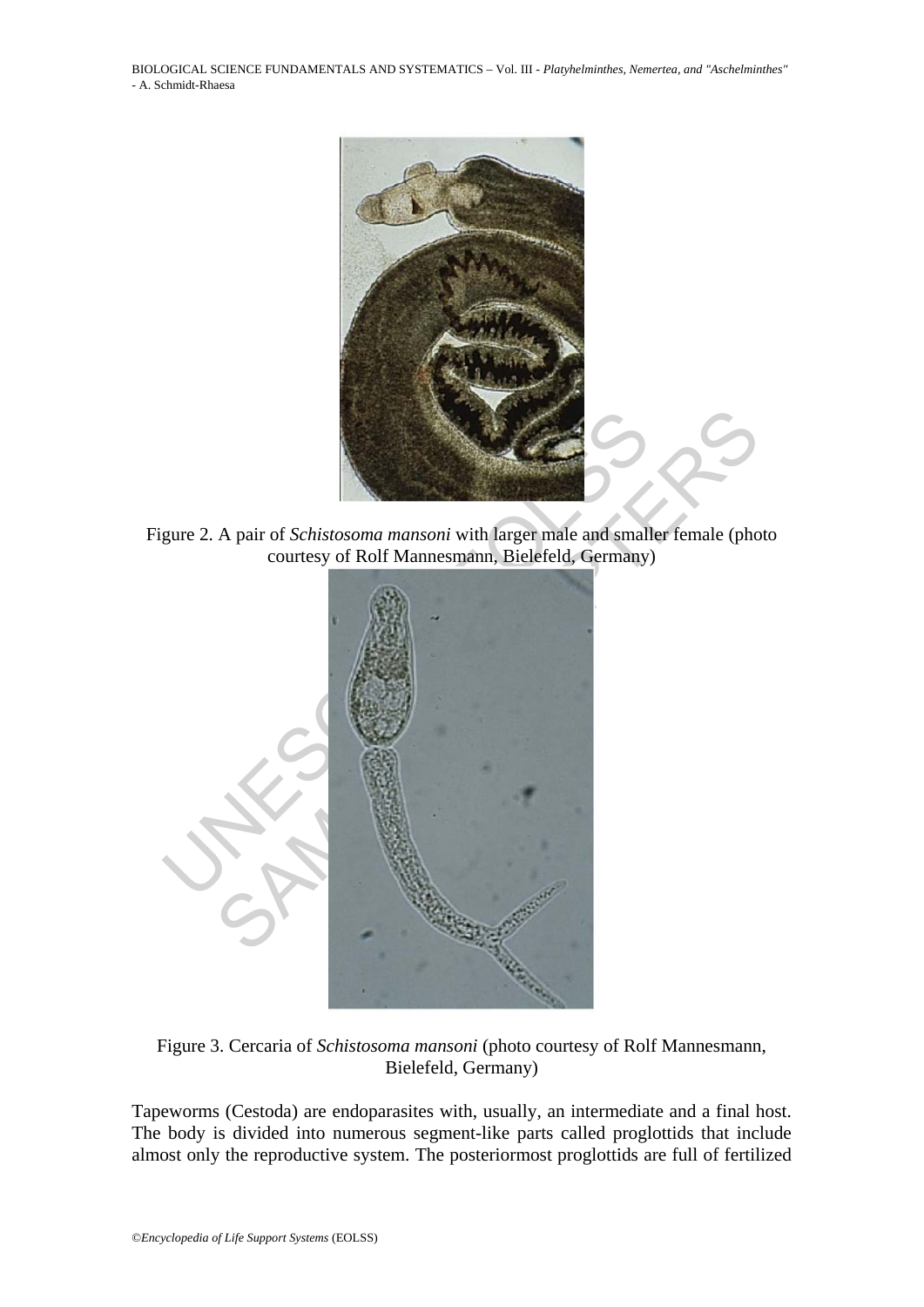BIOLOGICAL SCIENCE FUNDAMENTALS AND SYSTEMATICS – Vol. III - *Platyhelminthes, Nemertea, and "Aschelminthes"* - A. Schmidt-Rhaesa



Figure 2. A pair of *Schistosoma mansoni* with larger male and smaller female (photo courtesy of Rolf Mannesmann, Bielefeld, Germany)



Figure 3. Cercaria of *Schistosoma mansoni* (photo courtesy of Rolf Mannesmann, Bielefeld, Germany)

Tapeworms (Cestoda) are endoparasites with, usually, an intermediate and a final host. The body is divided into numerous segment-like parts called proglottids that include almost only the reproductive system. The posteriormost proglottids are full of fertilized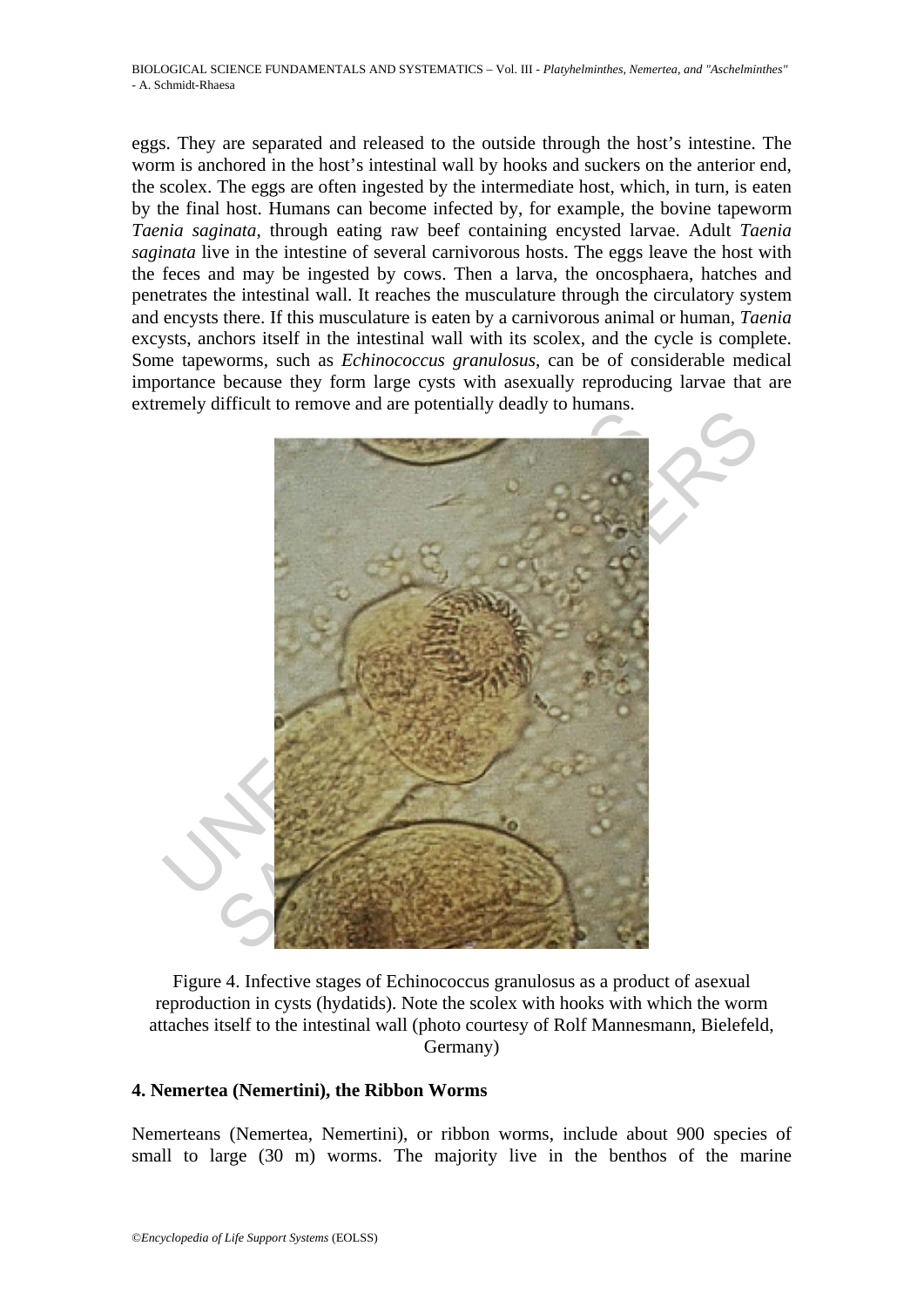eggs. They are separated and released to the outside through the host's intestine. The worm is anchored in the host's intestinal wall by hooks and suckers on the anterior end, the scolex. The eggs are often ingested by the intermediate host, which, in turn, is eaten by the final host. Humans can become infected by, for example, the bovine tapeworm *Taenia saginata*, through eating raw beef containing encysted larvae. Adult *Taenia saginata* live in the intestine of several carnivorous hosts. The eggs leave the host with the feces and may be ingested by cows. Then a larva, the oncosphaera, hatches and penetrates the intestinal wall. It reaches the musculature through the circulatory system and encysts there. If this musculature is eaten by a carnivorous animal or human, *Taenia* excysts, anchors itself in the intestinal wall with its scolex, and the cycle is complete. Some tapeworms, such as *Echinococcus granulosus*, can be of considerable medical importance because they form large cysts with asexually reproducing larvae that are extremely difficult to remove and are potentially deadly to humans.



Figure 4. Infective stages of Echinococcus granulosus as a product of asexual reproduction in cysts (hydatids). Note the scolex with hooks with which the worm attaches itself to the intestinal wall (photo courtesy of Rolf Mannesmann, Bielefeld, Germany)

### **4. Nemertea (Nemertini), the Ribbon Worms**

Nemerteans (Nemertea, Nemertini), or ribbon worms, include about 900 species of small to large (30 m) worms. The majority live in the benthos of the marine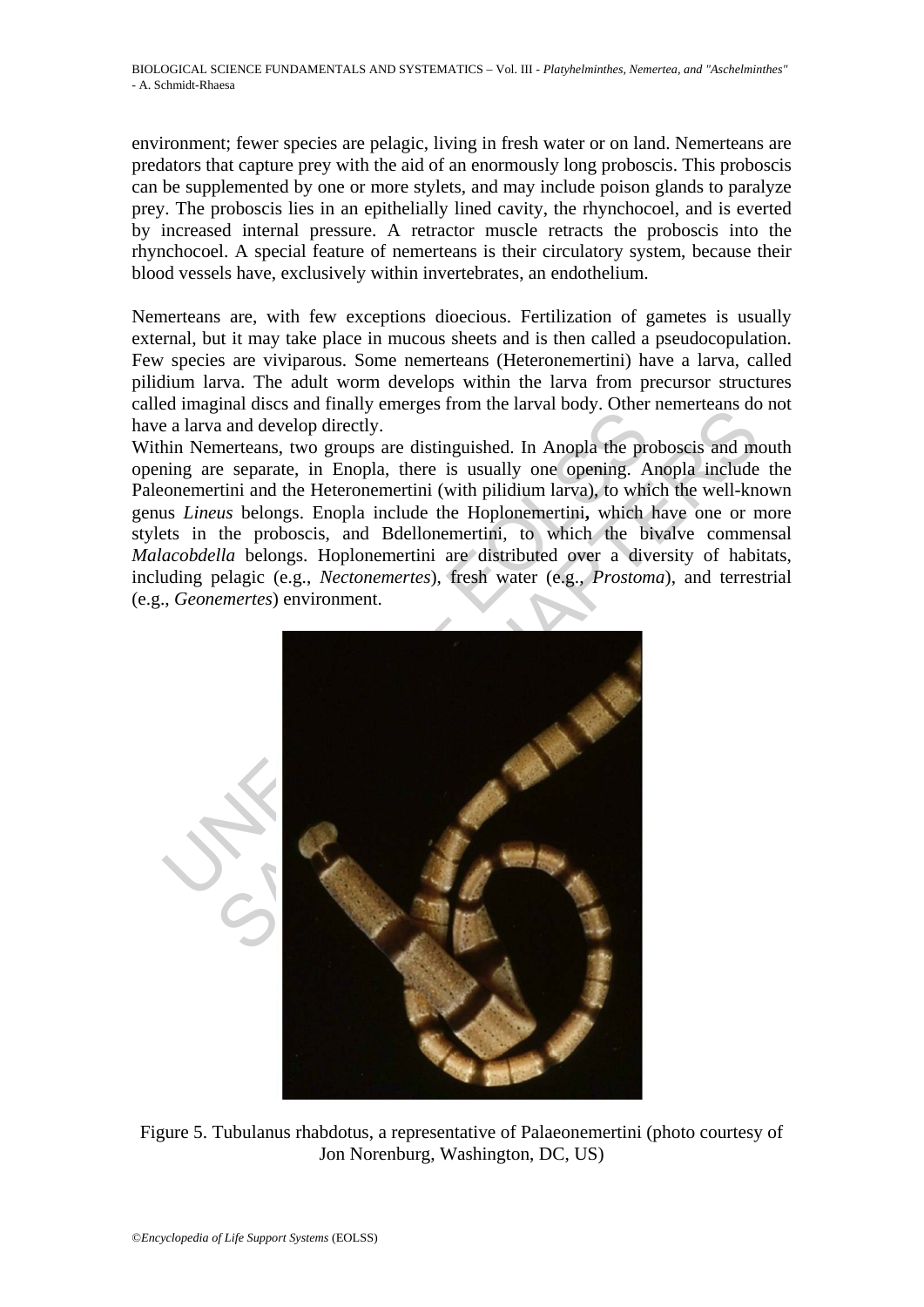environment; fewer species are pelagic, living in fresh water or on land. Nemerteans are predators that capture prey with the aid of an enormously long proboscis. This proboscis can be supplemented by one or more stylets, and may include poison glands to paralyze prey. The proboscis lies in an epithelially lined cavity, the rhynchocoel, and is everted by increased internal pressure. A retractor muscle retracts the proboscis into the rhynchocoel. A special feature of nemerteans is their circulatory system, because their blood vessels have, exclusively within invertebrates, an endothelium.

Nemerteans are, with few exceptions dioecious. Fertilization of gametes is usually external, but it may take place in mucous sheets and is then called a pseudocopulation. Few species are viviparous. Some nemerteans (Heteronemertini) have a larva, called pilidium larva. The adult worm develops within the larva from precursor structures called imaginal discs and finally emerges from the larval body. Other nemerteans do not have a larva and develop directly.

Within Nemerteans, two groups are distinguished. In Anopla the proboscis and mouth opening are separate, in Enopla, there is usually one opening. Anopla include the Paleonemertini and the Heteronemertini (with pilidium larva), to which the well-known genus *Lineus* belongs. Enopla include the Hoplonemertini**,** which have one or more stylets in the proboscis, and Bdellonemertini, to which the bivalve commensal *Malacobdella* belongs. Hoplonemertini are distributed over a diversity of habitats, including pelagic (e.g., *Nectonemertes*), fresh water (e.g., *Prostoma*), and terrestrial (e.g., *Geonemertes*) environment.



Figure 5. Tubulanus rhabdotus, a representative of Palaeonemertini (photo courtesy of Jon Norenburg, Washington, DC, US)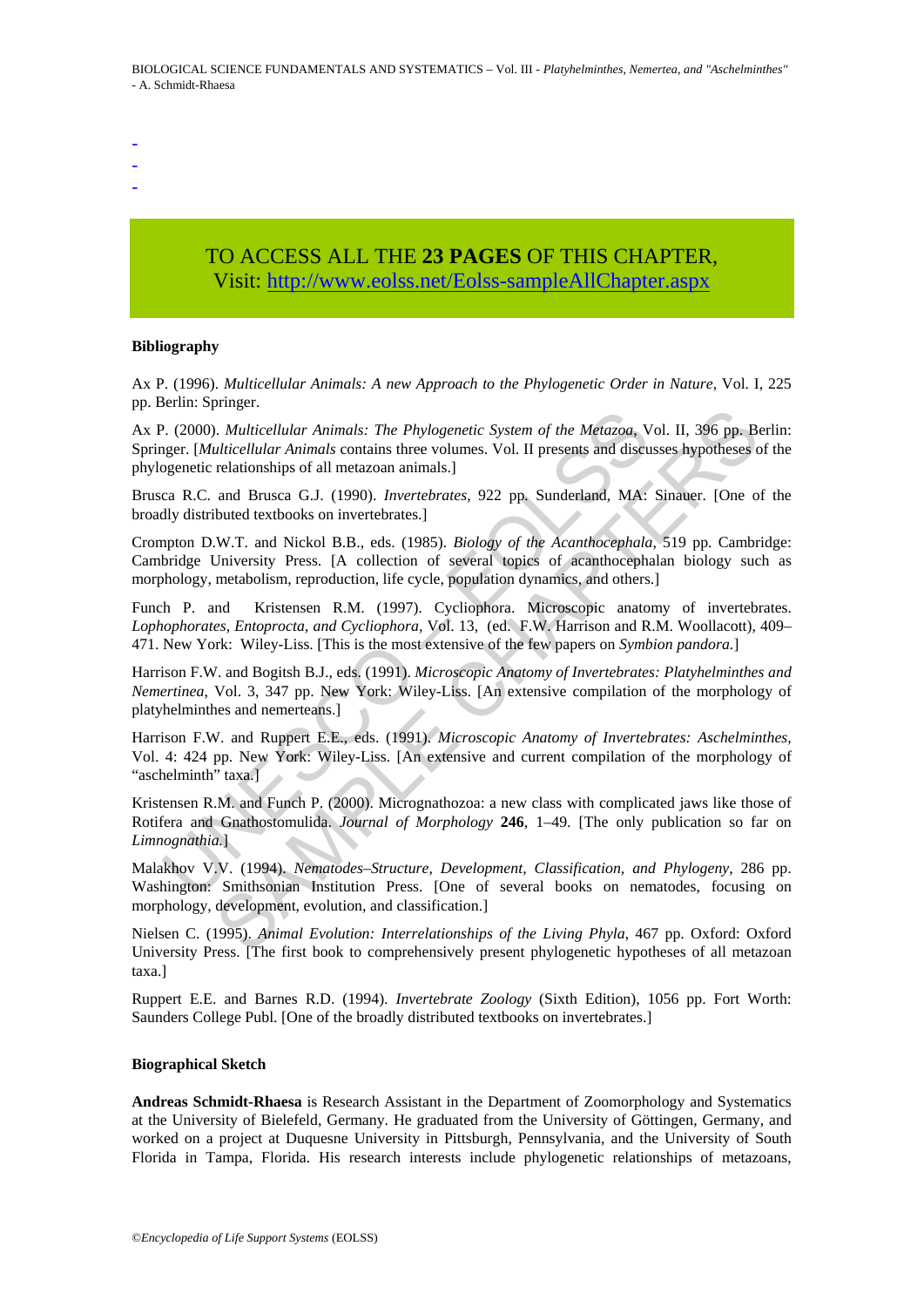- -
- -
- -

# TO ACCESS ALL THE **23 PAGES** OF THIS CHAPTER, Visit[: http://www.eolss.net/Eolss-sampleAllChapter.aspx](https://www.eolss.net/ebooklib/sc_cart.aspx?File=E6-71-07-02)

#### **Bibliography**

Ax P. (1996). *Multicellular Animals: A new Approach to the Phylogenetic Order in Nature*, Vol. I, 225 pp. Berlin: Springer.

P. (2000). *Multicellular Animals: The Phylogenetic System of the Metazoa,* V. (2000). *Multicellular Animals: The Phylogenetic System of the Metazoa,* Veger. [*Multicellular Animals* contains three volumes. Vol. II prese Franchical Internals: The Phylogenetic System of the Metazoa, Vol. II, 396 pp. Bulticellular Animals contains three volumes. Vol. II presents and discusses hypotheses celationships of all metazoan animals.]<br>
and Brusca G. Ax P. (2000). *Multicellular Animals: The Phylogenetic System of the Metazoa*, Vol. II, 396 pp. Berlin: Springer. [*Multicellular Animals* contains three volumes. Vol. II presents and discusses hypotheses of the phylogenetic relationships of all metazoan animals.]

Brusca R.C. and Brusca G.J. (1990). *Invertebrates,* 922 pp*.* Sunderland, MA: Sinauer. [One of the broadly distributed textbooks on invertebrates.]

Crompton D.W.T. and Nickol B.B., eds. (1985). *Biology of the Acanthocephala*, 519 pp. Cambridge: Cambridge University Press. [A collection of several topics of acanthocephalan biology such as morphology, metabolism, reproduction, life cycle, population dynamics, and others.]

Funch P. and Kristensen R.M. (1997). Cycliophora. Microscopic anatomy of invertebrates. *Lophophorates, Entoprocta, and Cycliophora,* Vol. 13, (ed. F.W. Harrison and R.M. Woollacott), 409– 471. New York: Wiley-Liss. [This is the most extensive of the few papers on *Symbion pandora.*]

Harrison F.W. and Bogitsh B.J., eds. (1991). *Microscopic Anatomy of Invertebrates: Platyhelminthes and Nemertinea*, Vol. 3, 347 pp. New York: Wiley-Liss. [An extensive compilation of the morphology of platyhelminthes and nemerteans.]

Harrison F.W. and Ruppert E.E., eds. (1991). *Microscopic Anatomy of Invertebrates: Aschelminthes,* Vol. 4: 424 pp. New York: Wiley-Liss. [An extensive and current compilation of the morphology of "aschelminth" taxa.]

Kristensen R.M. and Funch P. (2000). Micrognathozoa: a new class with complicated jaws like those of Rotifera and Gnathostomulida. *Journal of Morphology* **246**, 1–49. [The only publication so far on *Limnognathia.*]

Malakhov V.V. (1994). *Nematodes–Structure, Development, Classification, and Phylogeny*, 286 pp. Washington: Smithsonian Institution Press. [One of several books on nematodes, focusing on morphology, development, evolution, and classification.]

Nielsen C. (1995). *Animal Evolution: Interrelationships of the Living Phyla*, 467 pp. Oxford: Oxford University Press. [The first book to comprehensively present phylogenetic hypotheses of all metazoan taxa.]

Ruppert E.E. and Barnes R.D. (1994). *Invertebrate Zoology* (Sixth Edition), 1056 pp. Fort Worth: Saunders College Publ. [One of the broadly distributed textbooks on invertebrates.]

#### **Biographical Sketch**

**Andreas Schmidt-Rhaesa** is Research Assistant in the Department of Zoomorphology and Systematics at the University of Bielefeld, Germany. He graduated from the University of Göttingen, Germany, and worked on a project at Duquesne University in Pittsburgh, Pennsylvania, and the University of South Florida in Tampa, Florida. His research interests include phylogenetic relationships of metazoans,